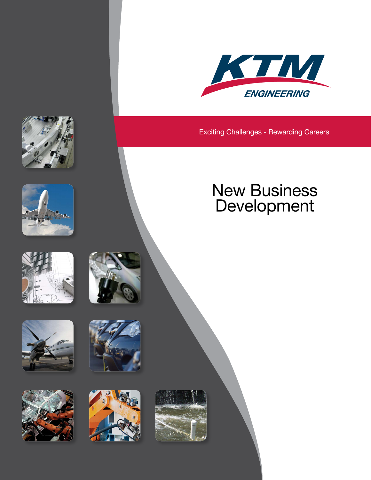

Exciting Challenges - Rewarding Careers

# New Business Development

















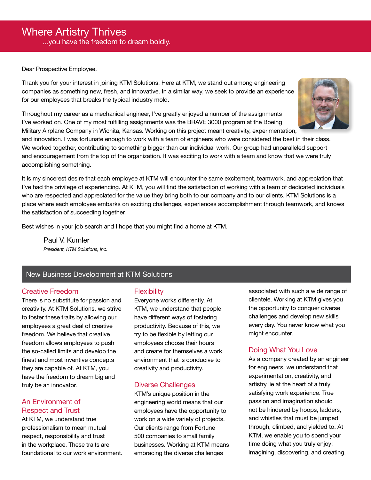#### Dear Prospective Employee,

Thank you for your interest in joining KTM Solutions. Here at KTM, we stand out among engineering companies as something new, fresh, and innovative. In a similar way, we seek to provide an experience for our employees that breaks the typical industry mold.

Throughout my career as a mechanical engineer, I've greatly enjoyed a number of the assignments I've worked on. One of my most fulfilling assignments was the BRAVE 3000 program at the Boeing Military Airplane Company in Wichita, Kansas. Working on this project meant creativity, experimentation,

and innovation. I was fortunate enough to work with a team of engineers who were considered the best in their class. We worked together, contributing to something bigger than our individual work. Our group had unparalleled support and encouragement from the top of the organization. It was exciting to work with a team and know that we were truly accomplishing something.

It is my sincerest desire that each employee at KTM will encounter the same excitement, teamwork, and appreciation that I've had the privilege of experiencing. At KTM, you will find the satisfaction of working with a team of dedicated individuals who are respected and appreciated for the value they bring both to our company and to our clients. KTM Solutions is a place where each employee embarks on exciting challenges, experiences accomplishment through teamwork, and knows the satisfaction of succeeding together.

Best wishes in your job search and I hope that you might find a home at KTM.

Paul V. Kumler *President, KTM Solutions, Inc.*

### New Business Development at KTM Solutions

### Creative Freedom

There is no substitute for passion and creativity. At KTM Solutions, we strive to foster these traits by allowing our employees a great deal of creative freedom. We believe that creative freedom allows employees to push the so-called limits and develop the finest and most inventive concepts they are capable of. At KTM, you have the freedom to dream big and truly be an innovator.

### An Environment of Respect and Trust

At KTM, we understand true professionalism to mean mutual respect, responsibility and trust in the workplace. These traits are foundational to our work environment.

### **Flexibility**

Everyone works differently. At KTM, we understand that people have different ways of fostering productivity. Because of this, we try to be flexible by letting our employees choose their hours and create for themselves a work environment that is conducive to creativity and productivity.

#### Diverse Challenges

KTM's unique position in the engineering world means that our employees have the opportunity to work on a wide variety of projects. Our clients range from Fortune 500 companies to small family businesses. Working at KTM means embracing the diverse challenges

associated with such a wide range of clientele. Working at KTM gives you the opportunity to conquer diverse challenges and develop new skills every day. You never know what you might encounter.

## Doing What You Love

As a company created by an engineer for engineers, we understand that experimentation, creativity, and artistry lie at the heart of a truly satisfying work experience. True passion and imagination should not be hindered by hoops, ladders, and whistles that must be jumped through, climbed, and yielded to. At KTM, we enable you to spend your time doing what you truly enjoy: imagining, discovering, and creating.

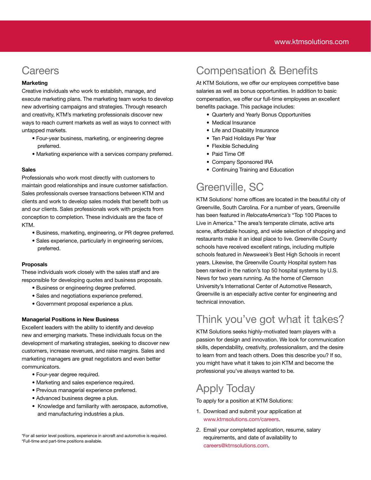# **Careers**

#### **Marketing**

Creative individuals who work to establish, manage, and execute marketing plans. The marketing team works to develop new advertising campaigns and strategies. Through research and creativity, KTM's marketing professionals discover new ways to reach current markets as well as ways to connect with untapped markets.

- Four-year business, marketing, or engineering degree preferred.
- Marketing experience with a services company preferred.

#### Sales

Professionals who work most directly with customers to maintain good relationships and insure customer satisfaction. Sales professionals oversee transactions between KTM and clients and work to develop sales models that benefit both us and our clients. Sales professionals work with projects from conception to completion. These individuals are the face of KTM.

- Business, marketing, engineering, or PR degree preferred.
- Sales experience, particularly in engineering services, preferred.

#### Proposals

These individuals work closely with the sales staff and are responsible for developing quotes and business proposals.

- Business or engineering degree preferred.
- Sales and negotiations experience preferred.
- Government proposal experience a plus.

#### Managerial Positions in New Business

Excellent leaders with the ability to identify and develop new and emerging markets. These individuals focus on the development of marketing strategies, seeking to discover new customers, increase revenues, and raise margins. Sales and marketing managers are great negotiators and even better communicators.

- Four-year degree required.
- Marketing and sales experience required.
- Previous managerial experience preferred.
- Advanced business degree a plus.
- Knowledge and familiarity with aerospace, automotive, and manufacturing industries a plus.

\*For all senior level positions, experience in aircraft and automotive is required. \*Full-time and part-time positions available.

# Compensation & Benefits

At KTM Solutions, we offer our employees competitive base salaries as well as bonus opportunities. In addition to basic compensation, we offer our full-time employees an excellent benefits package. This package includes:

- Quarterly and Yearly Bonus Opportunities
- Medical Insurance
- Life and Disability Insurance
- Ten Paid Holidays Per Year
- Flexible Scheduling
- Paid Time Off
- Company Sponsored IRA
- Continuing Training and Education

# Greenville, SC

KTM Solutions' home offices are located in the beautiful city of Greenville, South Carolina. For a number of years, Greenville has been featured in *RelocateAmerica's* "Top 100 Places to Live in America." The area's temperate climate, active arts scene, affordable housing, and wide selection of shopping and restaurants make it an ideal place to live. Greenville County schools have received excellent ratings, including multiple schools featured in *Newsweek's* Best High Schools in recent years. Likewise, the Greenville County Hospital system has been ranked in the nation's top 50 hospital systems by U.S. News for two years running. As the home of Clemson University's International Center of Automotive Research, Greenville is an especially active center for engineering and technical innovation.

# Think you've got what it takes?

KTM Solutions seeks highly-motivated team players with a passion for design and innovation. We look for communication skills, dependability, creativity, professionalism, and the desire to learn from and teach others. Does this describe you? If so, you might have what it takes to join KTM and become the professional you've always wanted to be.

# Apply Today

To apply for a position at KTM Solutions:

- 1. Download and submit your application at [www.ktmsolutions.com/careers](https://www.ktmsolutions.com/careers).
- 2. Email your completed application, resume, salary requirements, and date of availability to careers@ktmsolutions.com.